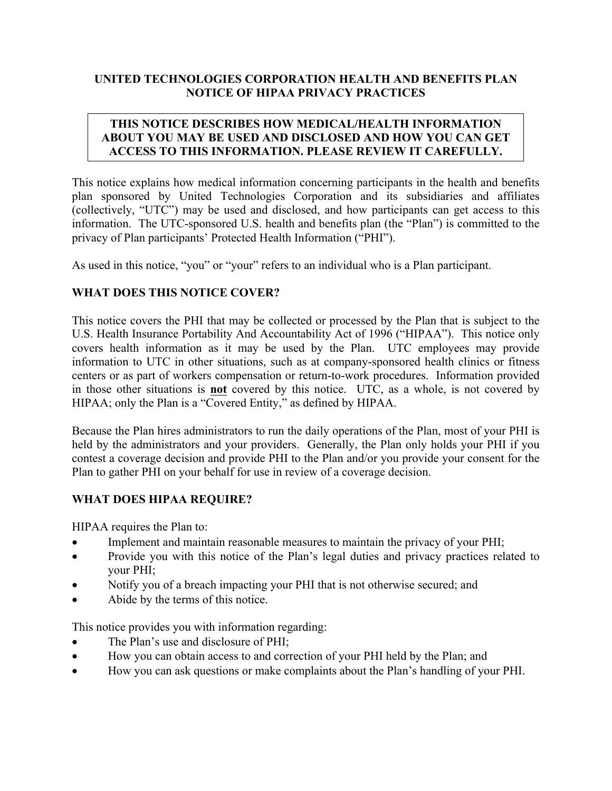# **UNITED TECHNOLOGIES CORPORATION HEALTH AND BENEFITS PLAN NOTICE OF HIPAA PRIVACY PRACTICES**

# **THIS NOTICE DESCRIBES HOW MEDICAL/HEALTH INFORMATION ABOUT YOU MAY BE USED AND DISCLOSED AND HOW YOU CAN GET ACCESS TO THIS INFORMATION. PLEASE REVIEW IT CAREFULLY.**

This notice explains how medical information concerning participants in the health and benefits plan sponsored by United Technologies Corporation and its subsidiaries and affiliates (collectively, "UTC") may be used and disclosed, and how participants can get access to this information. The UTC-sponsored U.S. health and benefits plan (the "Plan") is committed to the privacy of Plan participants' Protected Health Information ("PHI").

As used in this notice, "you" or "your" refers to an individual who is a Plan participant.

# **WHAT DOES THIS NOTICE COVER?**

This notice covers the PHI that may be collected or processed by the Plan that is subject to the U.S. Health Insurance Portability And Accountability Act of 1996 ("HIPAA"). This notice only covers health information as it may be used by the Plan. UTC employees may provide information to UTC in other situations, such as at company-sponsored health clinics or fitness centers or as part of workers compensation or return-to-work procedures. Information provided in those other situations is **not** covered by this notice. UTC, as a whole, is not covered by HIPAA; only the Plan is a "Covered Entity," as defined by HIPAA.

Because the Plan hires administrators to run the daily operations of the Plan, most of your PHI is held by the administrators and your providers. Generally, the Plan only holds your PHI if you contest a coverage decision and provide PHI to the Plan and/or you provide your consent for the Plan to gather PHI on your behalf for use in review of a coverage decision.

## **WHAT DOES HIPAA REQUIRE?**

HIPAA requires the Plan to:

- Implement and maintain reasonable measures to maintain the privacy of your PHI;
- Provide you with this notice of the Plan's legal duties and privacy practices related to your PHI;
- Notify you of a breach impacting your PHI that is not otherwise secured; and
- Abide by the terms of this notice.

This notice provides you with information regarding:

- The Plan's use and disclosure of PHI;
- How you can obtain access to and correction of your PHI held by the Plan; and
- How you can ask questions or make complaints about the Plan's handling of your PHI.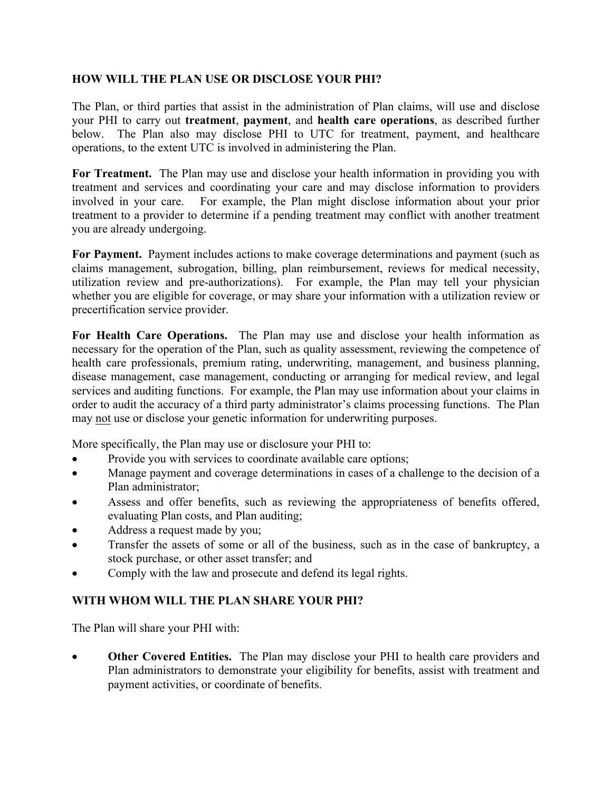# **HOW WILL THE PLAN USE OR DISCLOSE YOUR PHI?**

The Plan, or third parties that assist in the administration of Plan claims, will use and disclose your PHI to carry out **treatment**, **payment**, and **health care operations**, as described further below. The Plan also may disclose PHI to UTC for treatment, payment, and healthcare operations, to the extent UTC is involved in administering the Plan.

**For Treatment.** The Plan may use and disclose your health information in providing you with treatment and services and coordinating your care and may disclose information to providers involved in your care. For example, the Plan might disclose information about your prior treatment to a provider to determine if a pending treatment may conflict with another treatment you are already undergoing.

**For Payment.** Payment includes actions to make coverage determinations and payment (such as claims management, subrogation, billing, plan reimbursement, reviews for medical necessity, utilization review and pre-authorizations). For example, the Plan may tell your physician whether you are eligible for coverage, or may share your information with a utilization review or precertification service provider.

**For Health Care Operations.** The Plan may use and disclose your health information as necessary for the operation of the Plan, such as quality assessment, reviewing the competence of health care professionals, premium rating, underwriting, management, and business planning, disease management, case management, conducting or arranging for medical review, and legal services and auditing functions. For example, the Plan may use information about your claims in order to audit the accuracy of a third party administrator's claims processing functions. The Plan may not use or disclose your genetic information for underwriting purposes.

More specifically, the Plan may use or disclosure your PHI to:

- Provide you with services to coordinate available care options;
- Manage payment and coverage determinations in cases of a challenge to the decision of a Plan administrator;
- Assess and offer benefits, such as reviewing the appropriateness of benefits offered, evaluating Plan costs, and Plan auditing;
- Address a request made by you;
- Transfer the assets of some or all of the business, such as in the case of bankruptcy, a stock purchase, or other asset transfer; and
- Comply with the law and prosecute and defend its legal rights.

## **WITH WHOM WILL THE PLAN SHARE YOUR PHI?**

The Plan will share your PHI with:

• **Other Covered Entities.** The Plan may disclose your PHI to health care providers and Plan administrators to demonstrate your eligibility for benefits, assist with treatment and payment activities, or coordinate of benefits.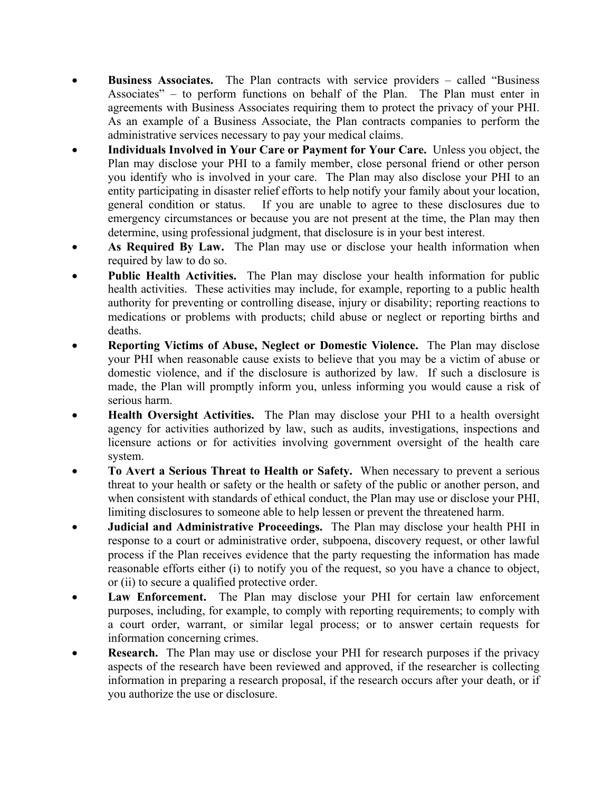- **Business Associates.** The Plan contracts with service providers called "Business Associates" – to perform functions on behalf of the Plan. The Plan must enter in agreements with Business Associates requiring them to protect the privacy of your PHI. As an example of a Business Associate, the Plan contracts companies to perform the administrative services necessary to pay your medical claims.
- **Individuals Involved in Your Care or Payment for Your Care.** Unless you object, the Plan may disclose your PHI to a family member, close personal friend or other person you identify who is involved in your care. The Plan may also disclose your PHI to an entity participating in disaster relief efforts to help notify your family about your location, general condition or status. If you are unable to agree to these disclosures due to emergency circumstances or because you are not present at the time, the Plan may then determine, using professional judgment, that disclosure is in your best interest.
- As Required By Law. The Plan may use or disclose your health information when required by law to do so.
- **Public Health Activities.** The Plan may disclose your health information for public health activities. These activities may include, for example, reporting to a public health authority for preventing or controlling disease, injury or disability; reporting reactions to medications or problems with products; child abuse or neglect or reporting births and deaths.
- **Reporting Victims of Abuse, Neglect or Domestic Violence.** The Plan may disclose your PHI when reasonable cause exists to believe that you may be a victim of abuse or domestic violence, and if the disclosure is authorized by law. If such a disclosure is made, the Plan will promptly inform you, unless informing you would cause a risk of serious harm.
- **Health Oversight Activities.** The Plan may disclose your PHI to a health oversight agency for activities authorized by law, such as audits, investigations, inspections and licensure actions or for activities involving government oversight of the health care system.
- **To Avert a Serious Threat to Health or Safety.** When necessary to prevent a serious threat to your health or safety or the health or safety of the public or another person, and when consistent with standards of ethical conduct, the Plan may use or disclose your PHI, limiting disclosures to someone able to help lessen or prevent the threatened harm.
- **Judicial and Administrative Proceedings.** The Plan may disclose your health PHI in response to a court or administrative order, subpoena, discovery request, or other lawful process if the Plan receives evidence that the party requesting the information has made reasonable efforts either (i) to notify you of the request, so you have a chance to object, or (ii) to secure a qualified protective order.
- Law Enforcement. The Plan may disclose your PHI for certain law enforcement purposes, including, for example, to comply with reporting requirements; to comply with a court order, warrant, or similar legal process; or to answer certain requests for information concerning crimes.
- **Research.** The Plan may use or disclose your PHI for research purposes if the privacy aspects of the research have been reviewed and approved, if the researcher is collecting information in preparing a research proposal, if the research occurs after your death, or if you authorize the use or disclosure.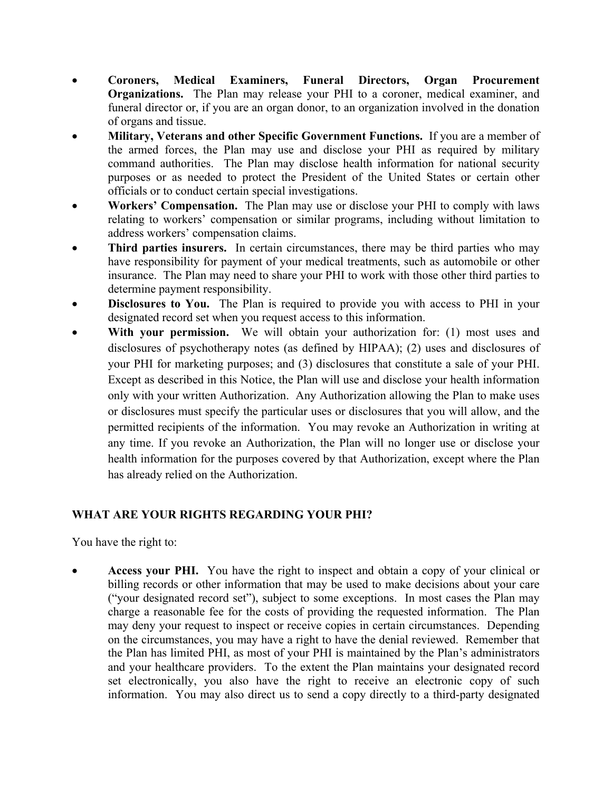- **Coroners, Medical Examiners, Funeral Directors, Organ Procurement Organizations.** The Plan may release your PHI to a coroner, medical examiner, and funeral director or, if you are an organ donor, to an organization involved in the donation of organs and tissue.
- **Military, Veterans and other Specific Government Functions.** If you are a member of the armed forces, the Plan may use and disclose your PHI as required by military command authorities. The Plan may disclose health information for national security purposes or as needed to protect the President of the United States or certain other officials or to conduct certain special investigations.
- **Workers' Compensation.** The Plan may use or disclose your PHI to comply with laws relating to workers' compensation or similar programs, including without limitation to address workers' compensation claims.
- **Third parties insurers.** In certain circumstances, there may be third parties who may have responsibility for payment of your medical treatments, such as automobile or other insurance. The Plan may need to share your PHI to work with those other third parties to determine payment responsibility.
- **Disclosures to You.** The Plan is required to provide you with access to PHI in your designated record set when you request access to this information.
- **With your permission.** We will obtain your authorization for: (1) most uses and disclosures of psychotherapy notes (as defined by HIPAA); (2) uses and disclosures of your PHI for marketing purposes; and (3) disclosures that constitute a sale of your PHI. Except as described in this Notice, the Plan will use and disclose your health information only with your written Authorization. Any Authorization allowing the Plan to make uses or disclosures must specify the particular uses or disclosures that you will allow, and the permitted recipients of the information. You may revoke an Authorization in writing at any time. If you revoke an Authorization, the Plan will no longer use or disclose your health information for the purposes covered by that Authorization, except where the Plan has already relied on the Authorization.

# **WHAT ARE YOUR RIGHTS REGARDING YOUR PHI?**

You have the right to:

• **Access your PHI.** You have the right to inspect and obtain a copy of your clinical or billing records or other information that may be used to make decisions about your care ("your designated record set"), subject to some exceptions. In most cases the Plan may charge a reasonable fee for the costs of providing the requested information. The Plan may deny your request to inspect or receive copies in certain circumstances. Depending on the circumstances, you may have a right to have the denial reviewed. Remember that the Plan has limited PHI, as most of your PHI is maintained by the Plan's administrators and your healthcare providers. To the extent the Plan maintains your designated record set electronically, you also have the right to receive an electronic copy of such information. You may also direct us to send a copy directly to a third-party designated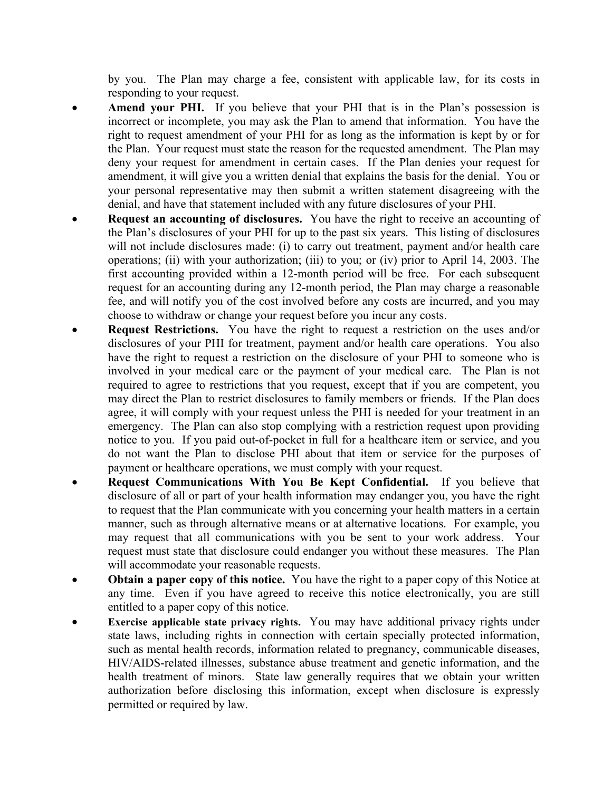by you. The Plan may charge a fee, consistent with applicable law, for its costs in responding to your request.

- Amend your PHI. If you believe that your PHI that is in the Plan's possession is incorrect or incomplete, you may ask the Plan to amend that information. You have the right to request amendment of your PHI for as long as the information is kept by or for the Plan. Your request must state the reason for the requested amendment. The Plan may deny your request for amendment in certain cases. If the Plan denies your request for amendment, it will give you a written denial that explains the basis for the denial. You or your personal representative may then submit a written statement disagreeing with the denial, and have that statement included with any future disclosures of your PHI.
- **Request an accounting of disclosures.** You have the right to receive an accounting of the Plan's disclosures of your PHI for up to the past six years. This listing of disclosures will not include disclosures made: (i) to carry out treatment, payment and/or health care operations; (ii) with your authorization; (iii) to you; or (iv) prior to April 14, 2003. The first accounting provided within a 12-month period will be free. For each subsequent request for an accounting during any 12-month period, the Plan may charge a reasonable fee, and will notify you of the cost involved before any costs are incurred, and you may choose to withdraw or change your request before you incur any costs.
- **Request Restrictions.** You have the right to request a restriction on the uses and/or disclosures of your PHI for treatment, payment and/or health care operations. You also have the right to request a restriction on the disclosure of your PHI to someone who is involved in your medical care or the payment of your medical care. The Plan is not required to agree to restrictions that you request, except that if you are competent, you may direct the Plan to restrict disclosures to family members or friends. If the Plan does agree, it will comply with your request unless the PHI is needed for your treatment in an emergency. The Plan can also stop complying with a restriction request upon providing notice to you. If you paid out-of-pocket in full for a healthcare item or service, and you do not want the Plan to disclose PHI about that item or service for the purposes of payment or healthcare operations, we must comply with your request.
- **Request Communications With You Be Kept Confidential.** If you believe that disclosure of all or part of your health information may endanger you, you have the right to request that the Plan communicate with you concerning your health matters in a certain manner, such as through alternative means or at alternative locations. For example, you may request that all communications with you be sent to your work address. Your request must state that disclosure could endanger you without these measures. The Plan will accommodate your reasonable requests.
- **Obtain a paper copy of this notice.** You have the right to a paper copy of this Notice at any time. Even if you have agreed to receive this notice electronically, you are still entitled to a paper copy of this notice.
- **Exercise applicable state privacy rights.** You may have additional privacy rights under state laws, including rights in connection with certain specially protected information, such as mental health records, information related to pregnancy, communicable diseases, HIV/AIDS-related illnesses, substance abuse treatment and genetic information, and the health treatment of minors. State law generally requires that we obtain your written authorization before disclosing this information, except when disclosure is expressly permitted or required by law.